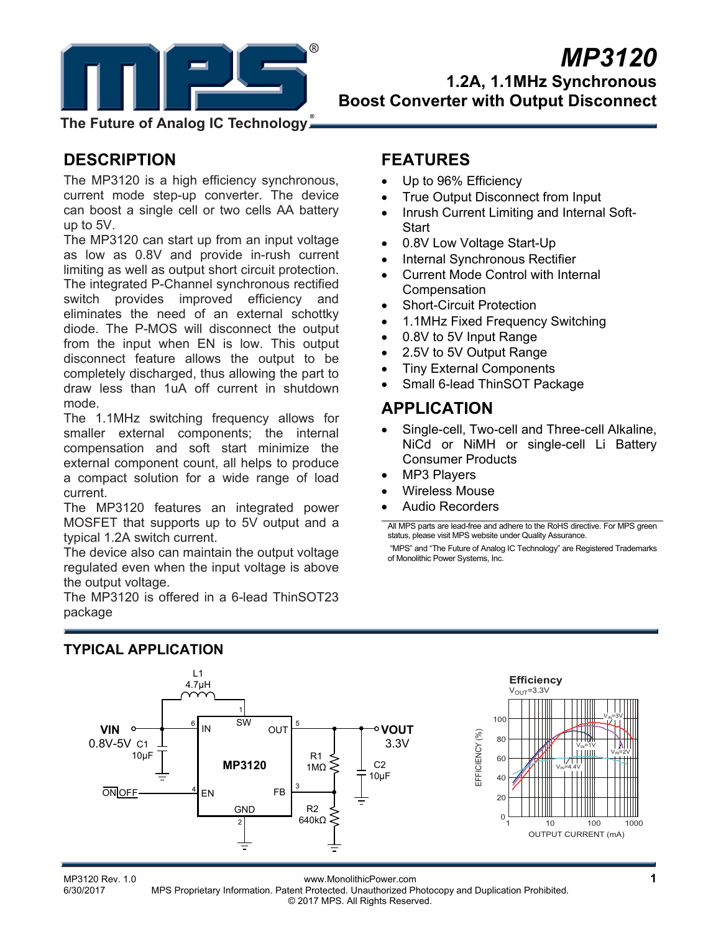

# *MP3120* **1.2A, 1.1MHz Synchronous Boost Converter with Output Disconnect**

**The Future of Analog IC Technology**

# **DESCRIPTION**

The MP3120 is a high efficiency synchronous, current mode step-up converter. The device can boost a single cell or two cells AA battery up to 5V.

The MP3120 can start up from an input voltage as low as 0.8V and provide in-rush current limiting as well as output short circuit protection. The integrated P-Channel synchronous rectified switch provides improved efficiency and eliminates the need of an external schottky diode. The P-MOS will disconnect the output from the input when EN is low. This output disconnect feature allows the output to be completely discharged, thus allowing the part to draw less than 1uA off current in shutdown mode.

The 1.1MHz switching frequency allows for smaller external components; the internal compensation and soft start minimize the external component count, all helps to produce a compact solution for a wide range of load current.

The MP3120 features an integrated power MOSFET that supports up to 5V output and a typical 1.2A switch current.

The device also can maintain the output voltage regulated even when the input voltage is above the output voltage.

## The MP3120 is offered in a 6-lead ThinSOT23 package

# **FEATURES**

- Up to 96% Efficiency
- True Output Disconnect from Input
- Inrush Current Limiting and Internal Soft-**Start**
- 0.8V Low Voltage Start-Up
- Internal Synchronous Rectifier
- Current Mode Control with Internal **Compensation**
- Short-Circuit Protection
- 1.1MHz Fixed Frequency Switching
- 0.8V to 5V Input Range
- 2.5V to 5V Output Range
- Tiny External Components
- Small 6-lead ThinSOT Package

### **APPLICATION**

- Single-cell, Two-cell and Three-cell Alkaline, NiCd or NiMH or single-cell Li Battery Consumer Products
- MP3 Players
- Wireless Mouse
- Audio Recorders

All MPS parts are lead-free and adhere to the RoHS directive. For MPS green status, please visit MPS website under Quality Assurance.

 "MPS" and "The Future of Analog IC Technology" are Registered Trademarks of Monolithic Power Systems, Inc.



### **TYPICAL APPLICATION**

MP3120 Rev. 1.0<br>6/30/2017 MPS Proprietary Information Patent Protected Unauthorized Photocopy and Duplication Probibited MPS Proprietary Information. Patent Protected. Unauthorized Photocopy and Duplication Prohibited. © 2017 MPS. All Rights Reserved.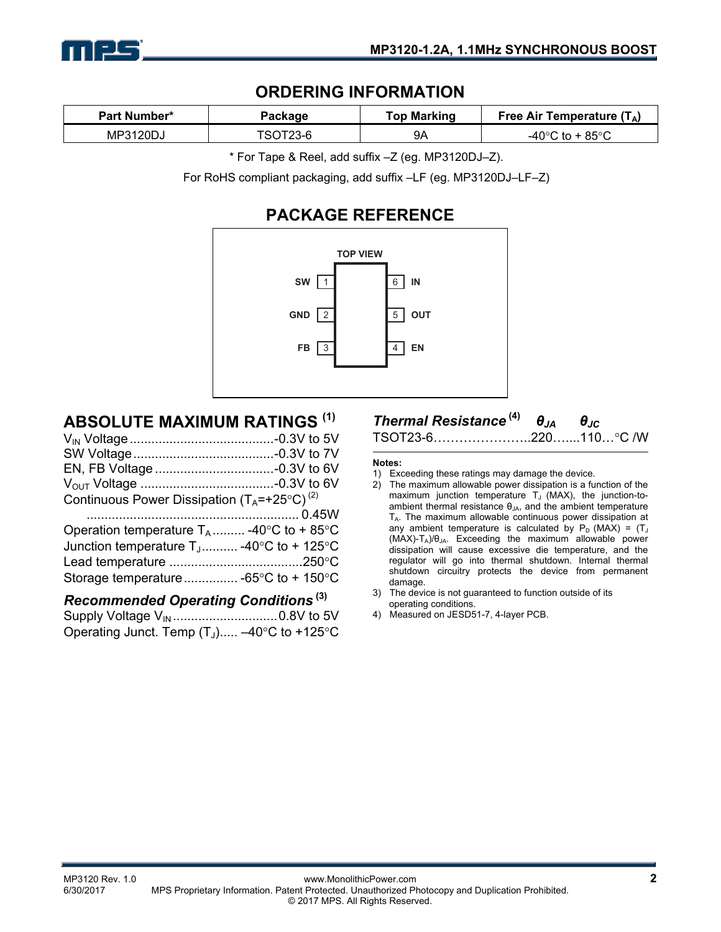

### **ORDERING INFORMATION**

| <b>Part Number*</b> | Package | Top Marking | Free Air Temperature $(T_A)$ |  |
|---------------------|---------|-------------|------------------------------|--|
| MP3120DJ            |         | 9Α          | 85°C                         |  |

\* For Tape & Reel, add suffix –Z (eg. MP3120DJ–Z).

For RoHS compliant packaging, add suffix –LF (eg. MP3120DJ–LF–Z)

# **PACKAGE REFERENCE**



# **ABSOLUTE MAXIMUM RATINGS (1)**

| Continuous Power Dissipation $(T_A = +25^{\circ}C)^{(2)}$ |  |
|-----------------------------------------------------------|--|
|                                                           |  |
| Operation temperature $T_A$ -40°C to +85°C                |  |
| Junction temperature $T_1$ -40°C to + 125°C               |  |
|                                                           |  |
|                                                           |  |
|                                                           |  |

### *Recommended Operating Conditions* **(3)**

Supply Voltage VIN ............................. 0.8V to 5V Operating Junct. Temp  $(T_J)$ .....  $-40^{\circ}$ C to +125 $^{\circ}$ C

### *Thermal Resistance* **(4)** *θJA θJC*

TSOT23-6…………………..220…....110…C /W

#### **Notes:**

- 1) Exceeding these ratings may damage the device.
- 2) The maximum allowable power dissipation is a function of the maximum junction temperature  $T_J$  (MAX), the junction-toambient thermal resistance  $\theta_{JA}$ , and the ambient temperature T<sub>A</sub>. The maximum allowable continuous power dissipation at any ambient temperature is calculated by  $P_D$  (MAX) =  $(T_J$  $(MAX)-T_A)/\theta_{JA}$ . Exceeding the maximum allowable power dissipation will cause excessive die temperature, and the regulator will go into thermal shutdown. Internal thermal shutdown circuitry protects the device from permanent damage.
- 3) The device is not guaranteed to function outside of its operating conditions.
- 4) Measured on JESD51-7, 4-layer PCB.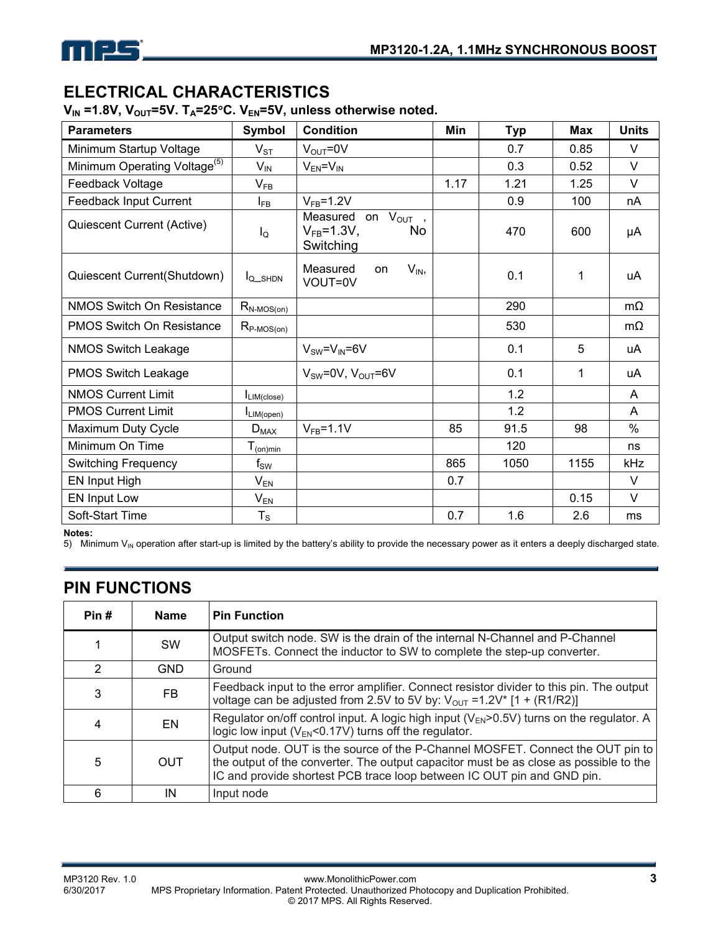

# **ELECTRICAL CHARACTERISTICS**

V<sub>IN</sub> =1.8V, V<sub>OUT</sub>=5V. T<sub>A</sub>=25°C. V<sub>EN</sub>=5V, unless otherwise noted.

| <b>Parameters</b>                        | <b>Symbol</b>            | <b>Condition</b>                                                      | <b>Min</b> | Typ  | <b>Max</b> | <b>Units</b>  |
|------------------------------------------|--------------------------|-----------------------------------------------------------------------|------------|------|------------|---------------|
| Minimum Startup Voltage                  | $V_{ST}$                 | $V_{OUT} = 0V$                                                        |            | 0.7  | 0.85       | V             |
| Minimum Operating Voltage <sup>(5)</sup> | $V_{IN}$                 | $V_{EN} = V_{IN}$                                                     |            | 0.3  | 0.52       | $\vee$        |
| Feedback Voltage                         | $V_{FB}$                 |                                                                       | 1.17       | 1.21 | 1.25       | $\vee$        |
| Feedback Input Current                   | $I_{FB}$                 | $V_{FB} = 1.2V$                                                       |            | 0.9  | 100        | nA            |
| Quiescent Current (Active)               | $I_{\mathsf{Q}}$         | Measured<br>$V_{OUT}$ ,<br>on<br>$V_{FB} = 1.3V$ ,<br>No<br>Switching |            | 470  | 600        | μA            |
| Quiescent Current(Shutdown)              | IQ_SHDN                  | Measured<br>$V_{IN}$<br>on<br>VOUT=0V                                 |            | 0.1  | 1          | uA            |
| <b>NMOS Switch On Resistance</b>         | $R_{N-MOS(0n)}$          |                                                                       |            | 290  |            | $m\Omega$     |
| <b>PMOS Switch On Resistance</b>         | $R_{P\text{-MOS(0n)}}$   |                                                                       |            | 530  |            | $m\Omega$     |
| <b>NMOS Switch Leakage</b>               |                          | $V_{SW} = V_{IN} = 6V$                                                |            | 0.1  | 5          | uA            |
| <b>PMOS Switch Leakage</b>               |                          | $V_{SW} = 0V$ , $V_{OUT} = 6V$                                        |            | 0.1  | 1          | uA            |
| <b>NMOS Current Limit</b>                | ILIM(close)              |                                                                       |            | 1.2  |            | A             |
| <b>PMOS Current Limit</b>                | $I_{LIM(open)}$          |                                                                       |            | 1.2  |            | A             |
| Maximum Duty Cycle                       | $D_{MAX}$                | $V_{FB} = 1.1V$                                                       | 85         | 91.5 | 98         | $\frac{0}{0}$ |
| Minimum On Time                          | $T_{(on)min}$            |                                                                       |            | 120  |            | ns            |
| <b>Switching Frequency</b>               | $\mathsf{f}_\mathsf{SW}$ |                                                                       | 865        | 1050 | 1155       | kHz           |
| EN Input High                            | $V_{EN}$                 |                                                                       | 0.7        |      |            | V             |
| EN Input Low                             | $V_{EN}$                 |                                                                       |            |      | 0.15       | $\vee$        |
| Soft-Start Time                          | $T_S$                    |                                                                       | 0.7        | 1.6  | 2.6        | ms            |

#### **Notes:**

5) Minimum  $V_{IN}$  operation after start-up is limited by the battery's ability to provide the necessary power as it enters a deeply discharged state.

## **PIN FUNCTIONS**

| Pin#          | <b>Name</b> | <b>Pin Function</b>                                                                                                                                                                                                                               |
|---------------|-------------|---------------------------------------------------------------------------------------------------------------------------------------------------------------------------------------------------------------------------------------------------|
|               | <b>SW</b>   | Output switch node. SW is the drain of the internal N-Channel and P-Channel<br>MOSFETs. Connect the inductor to SW to complete the step-up converter.                                                                                             |
| $\mathcal{P}$ | <b>GND</b>  | Ground                                                                                                                                                                                                                                            |
| 3             | FB.         | Feedback input to the error amplifier. Connect resistor divider to this pin. The output<br>voltage can be adjusted from 2.5V to 5V by: $V_{OUT} = 1.2V^*$ [1 + (R1/R2)]                                                                           |
| 4             | <b>EN</b>   | Regulator on/off control input. A logic high input ( $V_{EN}$ >0.5V) turns on the regulator. A<br>logic low input ( $V_{EN}$ <0.17V) turns off the regulator.                                                                                     |
| 5             | <b>OUT</b>  | Output node. OUT is the source of the P-Channel MOSFET. Connect the OUT pin to<br>the output of the converter. The output capacitor must be as close as possible to the<br>IC and provide shortest PCB trace loop between IC OUT pin and GND pin. |
| 6             | ΙN          | Input node                                                                                                                                                                                                                                        |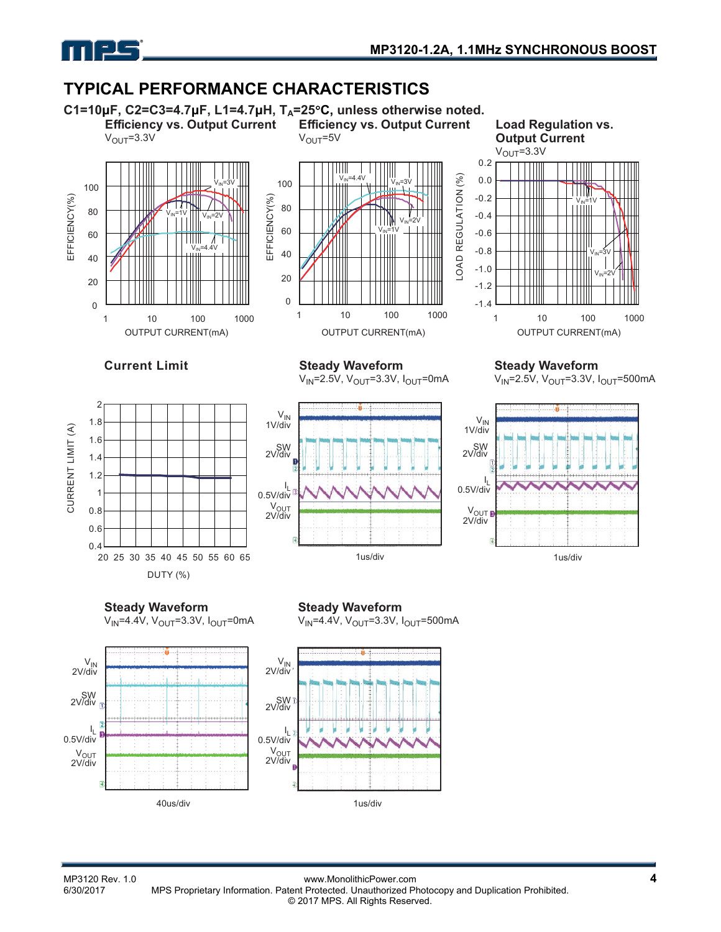

## **TYPICAL PERFORMANCE CHARACTERISTICS**





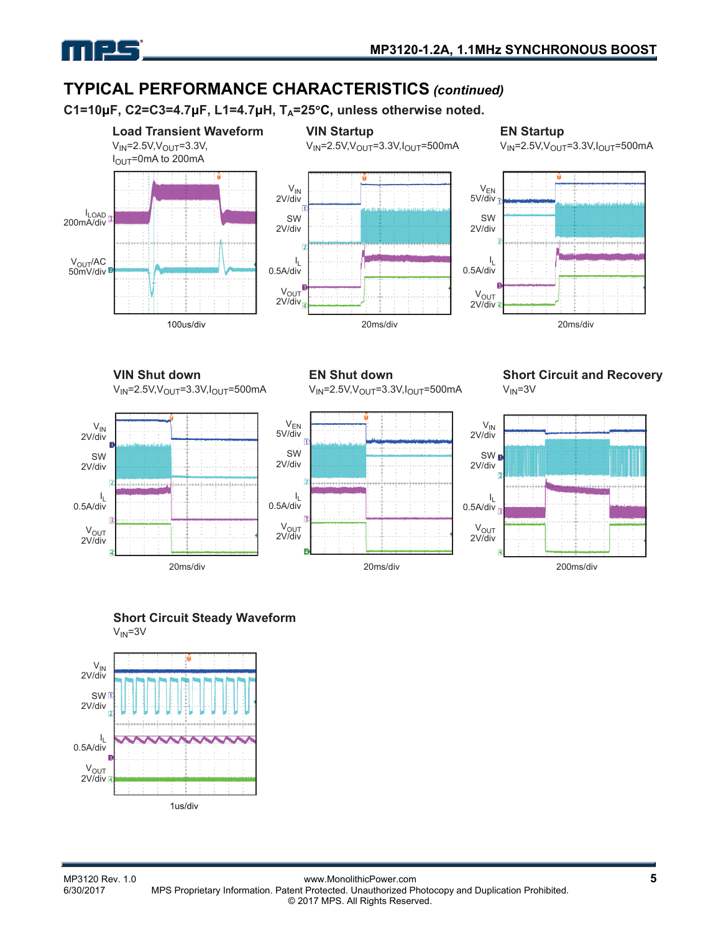

# **TYPICAL PERFORMANCE CHARACTERISTICS** *(continued)*

**C1=10μF, C2=C3=4.7μF, L1=4.7μH, TA=25C, unless otherwise noted.** 





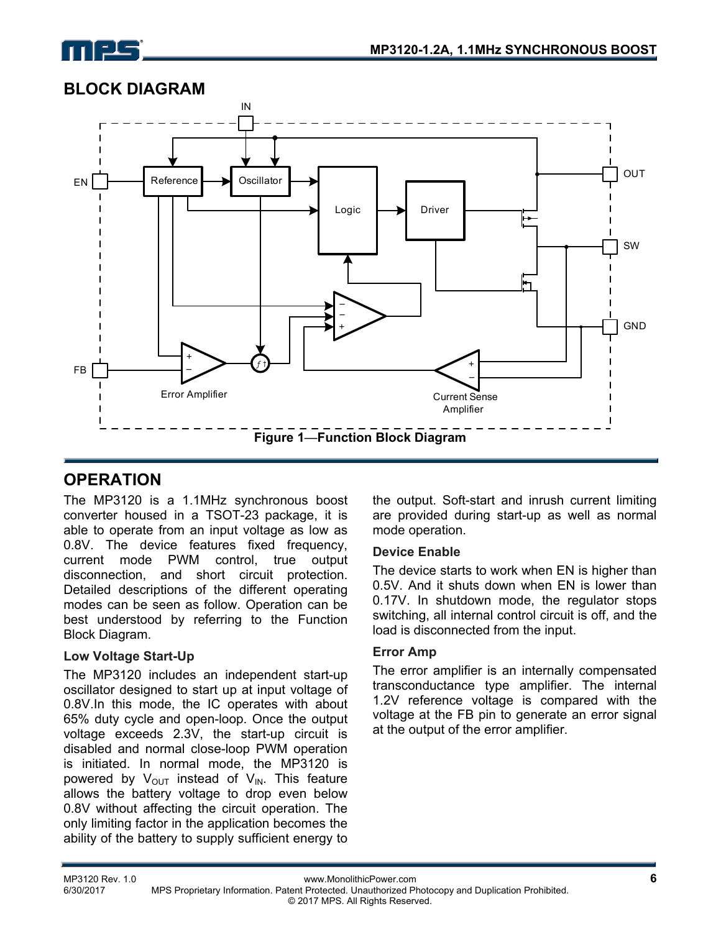



### **BLOCK DIAGRAM**

# **OPERATION**

The MP3120 is a 1.1MHz synchronous boost converter housed in a TSOT-23 package, it is able to operate from an input voltage as low as 0.8V. The device features fixed frequency, current mode PWM control, true output disconnection, and short circuit protection. Detailed descriptions of the different operating modes can be seen as follow. Operation can be best understood by referring to the Function Block Diagram.

#### **Low Voltage Start-Up**

The MP3120 includes an independent start-up oscillator designed to start up at input voltage of 0.8V.In this mode, the IC operates with about 65% duty cycle and open-loop. Once the output voltage exceeds 2.3V, the start-up circuit is disabled and normal close-loop PWM operation is initiated. In normal mode, the MP3120 is powered by  $V_{\text{OUT}}$  instead of  $V_{\text{IN}}$ . This feature allows the battery voltage to drop even below 0.8V without affecting the circuit operation. The only limiting factor in the application becomes the ability of the battery to supply sufficient energy to

the output. Soft-start and inrush current limiting are provided during start-up as well as normal mode operation.

#### **Device Enable**

The device starts to work when EN is higher than 0.5V. And it shuts down when EN is lower than 0.17V. In shutdown mode, the regulator stops switching, all internal control circuit is off, and the load is disconnected from the input.

#### **Error Amp**

The error amplifier is an internally compensated transconductance type amplifier. The internal 1.2V reference voltage is compared with the voltage at the FB pin to generate an error signal at the output of the error amplifier.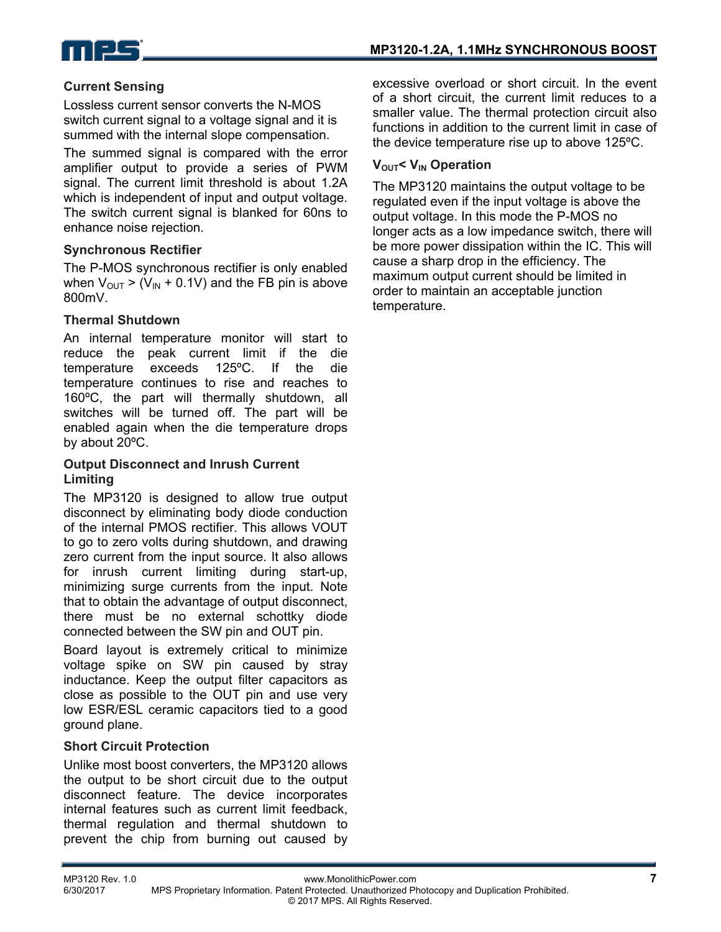

### **Current Sensing**

Lossless current sensor converts the N-MOS switch current signal to a voltage signal and it is summed with the internal slope compensation.

The summed signal is compared with the error amplifier output to provide a series of PWM signal. The current limit threshold is about 1.2A which is independent of input and output voltage. The switch current signal is blanked for 60ns to enhance noise rejection.

#### **Synchronous Rectifier**

The P-MOS synchronous rectifier is only enabled when  $V_{\text{OUT}}$  > (V<sub>IN</sub> + 0.1V) and the FB pin is above 800mV.

#### **Thermal Shutdown**

An internal temperature monitor will start to reduce the peak current limit if the die temperature exceeds 125ºC. If the die temperature continues to rise and reaches to 160ºC, the part will thermally shutdown, all switches will be turned off. The part will be enabled again when the die temperature drops by about 20ºC.

#### **Output Disconnect and Inrush Current Limiting**

The MP3120 is designed to allow true output disconnect by eliminating body diode conduction of the internal PMOS rectifier. This allows VOUT to go to zero volts during shutdown, and drawing zero current from the input source. It also allows for inrush current limiting during start-up, minimizing surge currents from the input. Note that to obtain the advantage of output disconnect, there must be no external schottky diode connected between the SW pin and OUT pin.

Board layout is extremely critical to minimize voltage spike on SW pin caused by stray inductance. Keep the output filter capacitors as close as possible to the OUT pin and use very low ESR/ESL ceramic capacitors tied to a good ground plane.

#### **Short Circuit Protection**

Unlike most boost converters, the MP3120 allows the output to be short circuit due to the output disconnect feature. The device incorporates internal features such as current limit feedback, thermal regulation and thermal shutdown to prevent the chip from burning out caused by excessive overload or short circuit. In the event of a short circuit, the current limit reduces to a smaller value. The thermal protection circuit also functions in addition to the current limit in case of the device temperature rise up to above 125ºC.

#### **V<sub>OUT</sub>< V<sub>IN</sub> Operation**

The MP3120 maintains the output voltage to be regulated even if the input voltage is above the output voltage. In this mode the P-MOS no longer acts as a low impedance switch, there will be more power dissipation within the IC. This will cause a sharp drop in the efficiency. The maximum output current should be limited in order to maintain an acceptable junction temperature.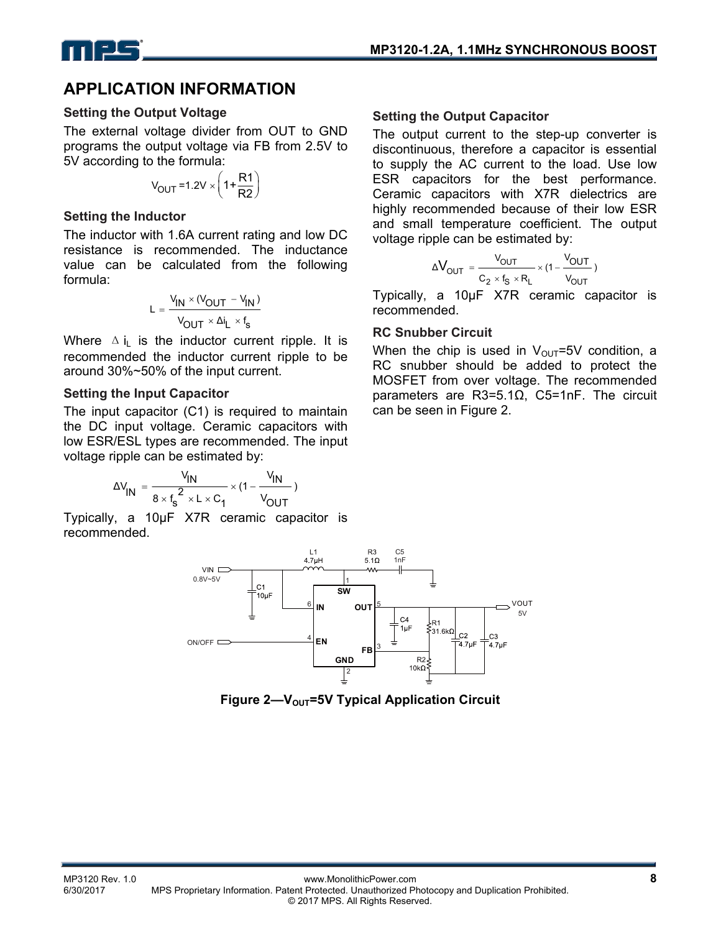

### **APPLICATION INFORMATION**

#### **Setting the Output Voltage**

The external voltage divider from OUT to GND programs the output voltage via FB from 2.5V to 5V according to the formula:

$$
V_{\text{OUT}} = 1.2 V \times \left(1 + \frac{R1}{R2}\right)
$$

#### **Setting the Inductor**

The inductor with 1.6A current rating and low DC resistance is recommended. The inductance value can be calculated from the following formula:

$$
L = \frac{V_{IN} \times (V_{OUT} - V_{IN})}{V_{OUT} \times \Delta i_L \times f_s}
$$

Where  $\Delta i_L$  is the inductor current ripple. It is recommended the inductor current ripple to be around 30%~50% of the input current.

#### **Setting the Input Capacitor**

The input capacitor (C1) is required to maintain the DC input voltage. Ceramic capacitors with low ESR/ESL types are recommended. The input voltage ripple can be estimated by:

$$
\Delta V_{IN} = \frac{V_{IN}}{8 \times f_s^2 \times L \times C_1} \times (1 - \frac{V_{IN}}{V_{OUT}})
$$

Typically, a 10μF X7R ceramic capacitor is recommended.

#### **Setting the Output Capacitor**

The output current to the step-up converter is discontinuous, therefore a capacitor is essential to supply the AC current to the load. Use low ESR capacitors for the best performance. Ceramic capacitors with X7R dielectrics are highly recommended because of their low ESR and small temperature coefficient. The output voltage ripple can be estimated by:

$$
\Delta V_{OUT} = \frac{V_{OUT}}{C_2 \times f_S \times R_L} \times (1 - \frac{V_{OUT}}{V_{OUT}})
$$

Typically, a 10μF X7R ceramic capacitor is recommended.

#### **RC Snubber Circuit**

When the chip is used in  $V_{\text{OUT}}=5V$  condition, a RC snubber should be added to protect the MOSFET from over voltage. The recommended parameters are R3=5.1Ω, C5=1nF. The circuit can be seen in Figure 2.



**Figure 2—V<sub>OUT</sub>=5V Typical Application Circuit**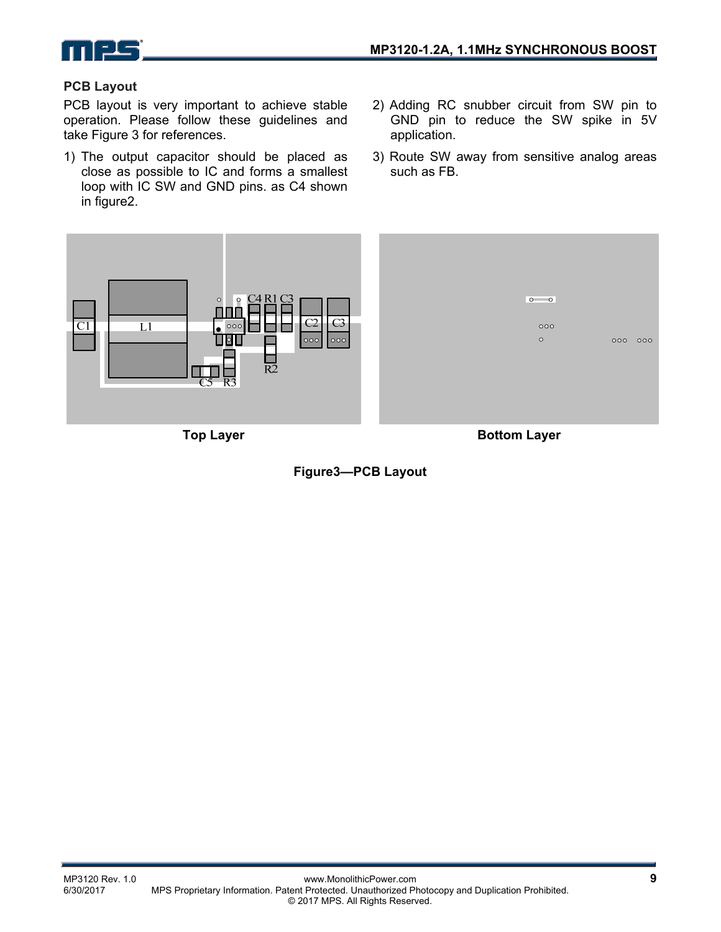

#### **PCB Layout**

PCB layout is very important to achieve stable operation. Please follow these guidelines and take Figure 3 for references.

- 1) The output capacitor should be placed as close as possible to IC and forms a smallest loop with IC SW and GND pins. as C4 shown in figure2.
- 2) Adding RC snubber circuit from SW pin to GND pin to reduce the SW spike in 5V application.
- 3) Route SW away from sensitive analog areas such as FB.